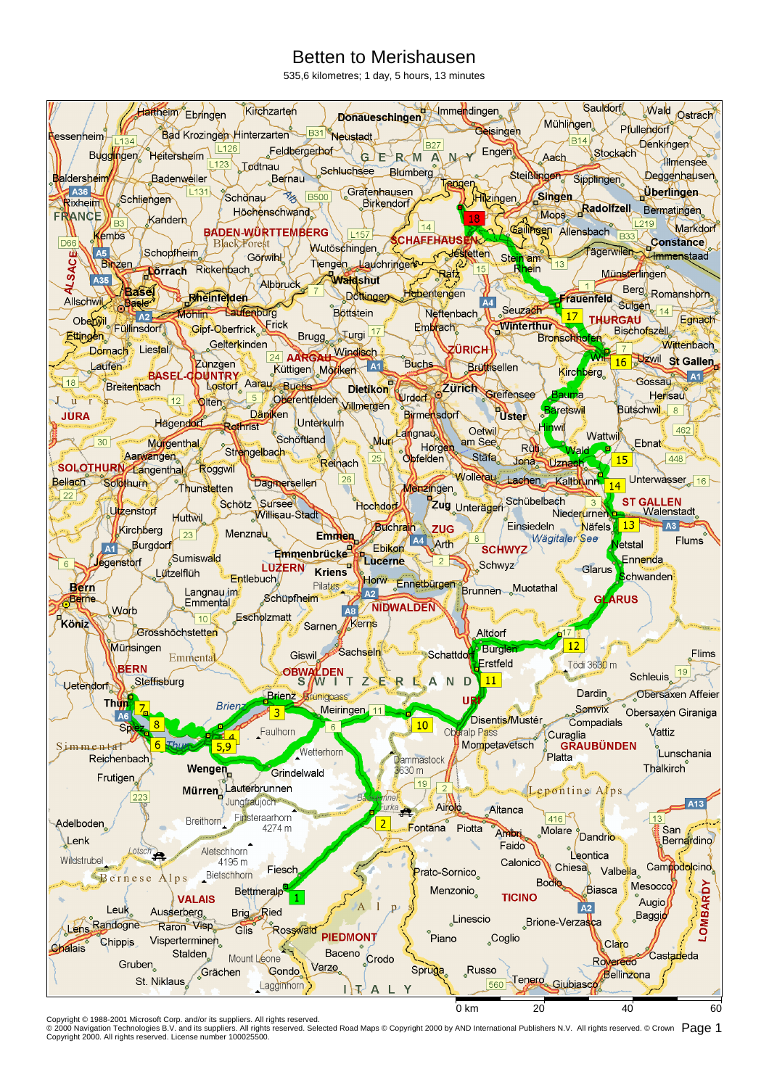## Betten to Merishausen

535,6 kilometres; 1 day, 5 hours, 13 minutes



Copyright © 1988-2001 Microsoft Corp. and/or its suppliers. All rights reserved.<br>© 2000 Navigation Technologies B.V. and its suppliers. All rights reserved. Selected Road Maps © Copyright 2000 by AND International Publish Copyright 2000. All rights reserved. License number 100025500.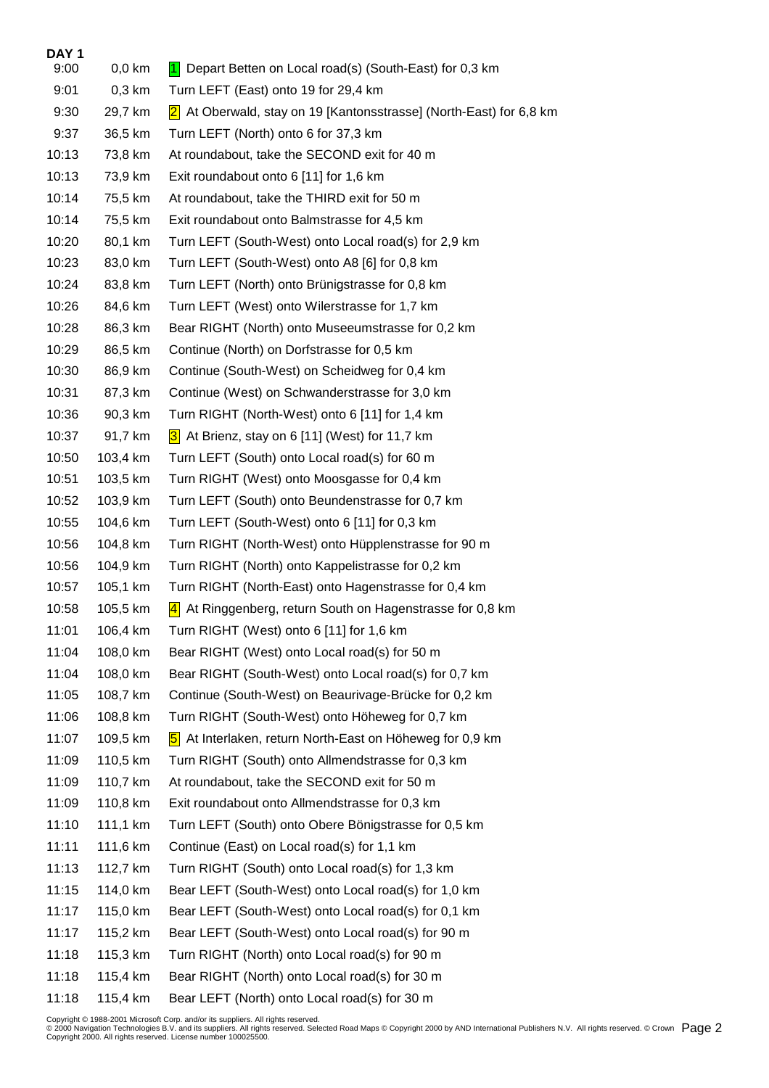| DAY <sub>1</sub> |          |                                                                           |
|------------------|----------|---------------------------------------------------------------------------|
| 9:00             | $0,0$ km | 1 Depart Betten on Local road(s) (South-East) for 0,3 km                  |
| 9:01             | $0,3$ km | Turn LEFT (East) onto 19 for 29,4 km                                      |
| 9:30             | 29,7 km  | 2 <br>At Oberwald, stay on 19 [Kantonsstrasse] (North-East) for 6,8 km    |
| 9:37             | 36,5 km  | Turn LEFT (North) onto 6 for 37,3 km                                      |
| 10:13            | 73,8 km  | At roundabout, take the SECOND exit for 40 m                              |
| 10:13            | 73,9 km  | Exit roundabout onto 6 [11] for 1,6 km                                    |
| 10:14            | 75,5 km  | At roundabout, take the THIRD exit for 50 m                               |
| 10:14            | 75,5 km  | Exit roundabout onto Balmstrasse for 4,5 km                               |
| 10:20            | 80,1 km  | Turn LEFT (South-West) onto Local road(s) for 2,9 km                      |
| 10:23            | 83,0 km  | Turn LEFT (South-West) onto A8 [6] for 0,8 km                             |
| 10:24            | 83,8 km  | Turn LEFT (North) onto Brünigstrasse for 0,8 km                           |
| 10:26            | 84,6 km  | Turn LEFT (West) onto Wilerstrasse for 1,7 km                             |
| 10:28            | 86,3 km  | Bear RIGHT (North) onto Museeumstrasse for 0,2 km                         |
| 10:29            | 86,5 km  | Continue (North) on Dorfstrasse for 0,5 km                                |
| 10:30            | 86,9 km  | Continue (South-West) on Scheidweg for 0,4 km                             |
| 10:31            | 87,3 km  | Continue (West) on Schwanderstrasse for 3,0 km                            |
| 10:36            | 90,3 km  | Turn RIGHT (North-West) onto 6 [11] for 1,4 km                            |
| 10:37            | 91,7 km  | 3 At Brienz, stay on 6 [11] (West) for 11,7 km                            |
| 10:50            | 103,4 km | Turn LEFT (South) onto Local road(s) for 60 m                             |
| 10:51            | 103,5 km | Turn RIGHT (West) onto Moosgasse for 0,4 km                               |
| 10:52            | 103,9 km | Turn LEFT (South) onto Beundenstrasse for 0,7 km                          |
| 10:55            | 104,6 km | Turn LEFT (South-West) onto 6 [11] for 0,3 km                             |
| 10:56            | 104,8 km | Turn RIGHT (North-West) onto Hüpplenstrasse for 90 m                      |
| 10:56            | 104,9 km | Turn RIGHT (North) onto Kappelistrasse for 0,2 km                         |
| 10:57            | 105,1 km | Turn RIGHT (North-East) onto Hagenstrasse for 0,4 km                      |
| 10:58            | 105,5 km | At Ringgenberg, return South on Hagenstrasse for 0,8 km<br> 4             |
| 11:01            | 106,4 km | Turn RIGHT (West) onto 6 [11] for 1,6 km                                  |
| 11:04            | 108,0 km | Bear RIGHT (West) onto Local road(s) for 50 m                             |
| 11:04            | 108,0 km | Bear RIGHT (South-West) onto Local road(s) for 0,7 km                     |
| 11:05            | 108,7 km | Continue (South-West) on Beaurivage-Brücke for 0,2 km                     |
| 11:06            | 108,8 km | Turn RIGHT (South-West) onto Höheweg for 0,7 km                           |
| 11:07            | 109,5 km | At Interlaken, return North-East on Höheweg for 0,9 km<br>$\vert 5 \vert$ |
| 11:09            | 110,5 km | Turn RIGHT (South) onto Allmendstrasse for 0,3 km                         |
| 11:09            | 110,7 km | At roundabout, take the SECOND exit for 50 m                              |
| 11:09            | 110,8 km | Exit roundabout onto Allmendstrasse for 0,3 km                            |
| 11:10            | 111,1 km | Turn LEFT (South) onto Obere Bönigstrasse for 0,5 km                      |
| 11:11            | 111,6 km | Continue (East) on Local road(s) for 1,1 km                               |
| 11:13            | 112,7 km | Turn RIGHT (South) onto Local road(s) for 1,3 km                          |
| 11:15            | 114,0 km | Bear LEFT (South-West) onto Local road(s) for 1,0 km                      |
| 11:17            | 115,0 km | Bear LEFT (South-West) onto Local road(s) for 0,1 km                      |
| 11:17            | 115,2 km | Bear LEFT (South-West) onto Local road(s) for 90 m                        |
| 11:18            | 115,3 km | Turn RIGHT (North) onto Local road(s) for 90 m                            |
| 11:18            | 115,4 km | Bear RIGHT (North) onto Local road(s) for 30 m                            |
| 11:18            | 115,4 km | Bear LEFT (North) onto Local road(s) for 30 m                             |

Copyright © 1988-2001 Microsoft Corp. and/or its suppliers. All rights reserved.<br>© 2000 Navigation Technologies B.V. and its suppliers. All rights reserved. Selected Road Maps © Copyright 2000 by AND International Publish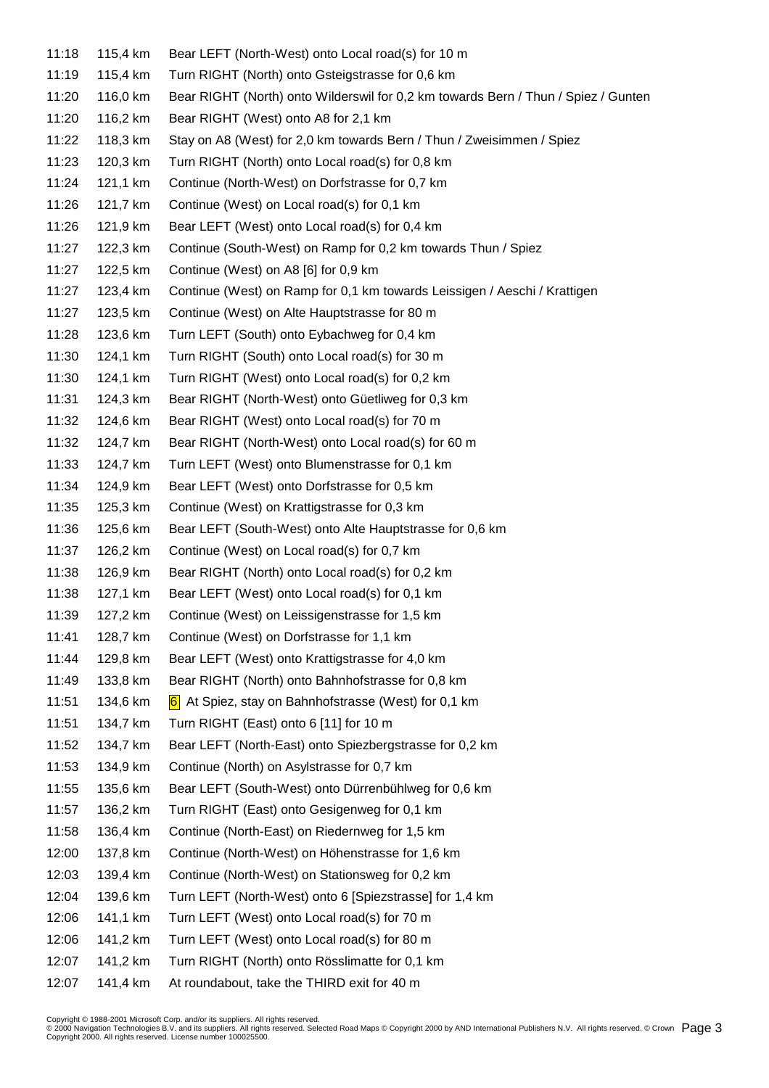| 11:18 | 115,4 km | Bear LEFT (North-West) onto Local road(s) for 10 m                                 |
|-------|----------|------------------------------------------------------------------------------------|
| 11:19 | 115,4 km | Turn RIGHT (North) onto Gsteigstrasse for 0,6 km                                   |
| 11:20 | 116,0 km | Bear RIGHT (North) onto Wilderswil for 0,2 km towards Bern / Thun / Spiez / Gunten |
| 11:20 | 116,2 km | Bear RIGHT (West) onto A8 for 2,1 km                                               |
| 11:22 | 118,3 km | Stay on A8 (West) for 2,0 km towards Bern / Thun / Zweisimmen / Spiez              |
| 11:23 | 120,3 km | Turn RIGHT (North) onto Local road(s) for 0,8 km                                   |
| 11:24 | 121,1 km | Continue (North-West) on Dorfstrasse for 0,7 km                                    |
| 11:26 | 121,7 km | Continue (West) on Local road(s) for 0,1 km                                        |
| 11:26 | 121,9 km | Bear LEFT (West) onto Local road(s) for 0,4 km                                     |
| 11:27 | 122,3 km | Continue (South-West) on Ramp for 0,2 km towards Thun / Spiez                      |
| 11:27 | 122,5 km | Continue (West) on A8 [6] for 0,9 km                                               |
| 11:27 | 123,4 km | Continue (West) on Ramp for 0,1 km towards Leissigen / Aeschi / Krattigen          |
| 11:27 | 123,5 km | Continue (West) on Alte Hauptstrasse for 80 m                                      |
| 11:28 | 123,6 km | Turn LEFT (South) onto Eybachweg for 0,4 km                                        |
| 11:30 | 124,1 km | Turn RIGHT (South) onto Local road(s) for 30 m                                     |
| 11:30 | 124,1 km | Turn RIGHT (West) onto Local road(s) for 0,2 km                                    |
| 11:31 | 124,3 km | Bear RIGHT (North-West) onto Güetliweg for 0,3 km                                  |
| 11:32 | 124,6 km | Bear RIGHT (West) onto Local road(s) for 70 m                                      |
| 11:32 | 124,7 km | Bear RIGHT (North-West) onto Local road(s) for 60 m                                |
| 11:33 | 124,7 km | Turn LEFT (West) onto Blumenstrasse for 0,1 km                                     |
| 11:34 | 124,9 km | Bear LEFT (West) onto Dorfstrasse for 0,5 km                                       |
| 11:35 | 125,3 km | Continue (West) on Krattigstrasse for 0,3 km                                       |
| 11:36 | 125,6 km | Bear LEFT (South-West) onto Alte Hauptstrasse for 0,6 km                           |
| 11:37 | 126,2 km | Continue (West) on Local road(s) for 0,7 km                                        |
| 11:38 | 126,9 km | Bear RIGHT (North) onto Local road(s) for 0,2 km                                   |
| 11:38 | 127,1 km | Bear LEFT (West) onto Local road(s) for 0,1 km                                     |
| 11:39 | 127,2 km | Continue (West) on Leissigenstrasse for 1,5 km                                     |
| 11:41 | 128,7 km | Continue (West) on Dorfstrasse for 1,1 km                                          |
| 11:44 | 129,8 km | Bear LEFT (West) onto Krattigstrasse for 4,0 km                                    |
| 11:49 | 133,8 km | Bear RIGHT (North) onto Bahnhofstrasse for 0,8 km                                  |
| 11:51 | 134,6 km | 6 At Spiez, stay on Bahnhofstrasse (West) for 0,1 km                               |
| 11:51 | 134,7 km | Turn RIGHT (East) onto 6 [11] for 10 m                                             |
| 11:52 | 134,7 km | Bear LEFT (North-East) onto Spiezbergstrasse for 0,2 km                            |
| 11:53 | 134,9 km | Continue (North) on Asylstrasse for 0,7 km                                         |
| 11:55 | 135,6 km | Bear LEFT (South-West) onto Dürrenbühlweg for 0,6 km                               |
| 11:57 | 136,2 km | Turn RIGHT (East) onto Gesigenweg for 0,1 km                                       |
| 11:58 | 136,4 km | Continue (North-East) on Riedernweg for 1,5 km                                     |
| 12:00 | 137,8 km | Continue (North-West) on Höhenstrasse for 1,6 km                                   |
| 12:03 | 139,4 km | Continue (North-West) on Stationsweg for 0,2 km                                    |
| 12:04 | 139,6 km | Turn LEFT (North-West) onto 6 [Spiezstrasse] for 1,4 km                            |
| 12:06 | 141,1 km | Turn LEFT (West) onto Local road(s) for 70 m                                       |
| 12:06 | 141,2 km | Turn LEFT (West) onto Local road(s) for 80 m                                       |
| 12:07 | 141,2 km | Turn RIGHT (North) onto Rösslimatte for 0,1 km                                     |
| 12:07 | 141,4 km | At roundabout, take the THIRD exit for 40 m                                        |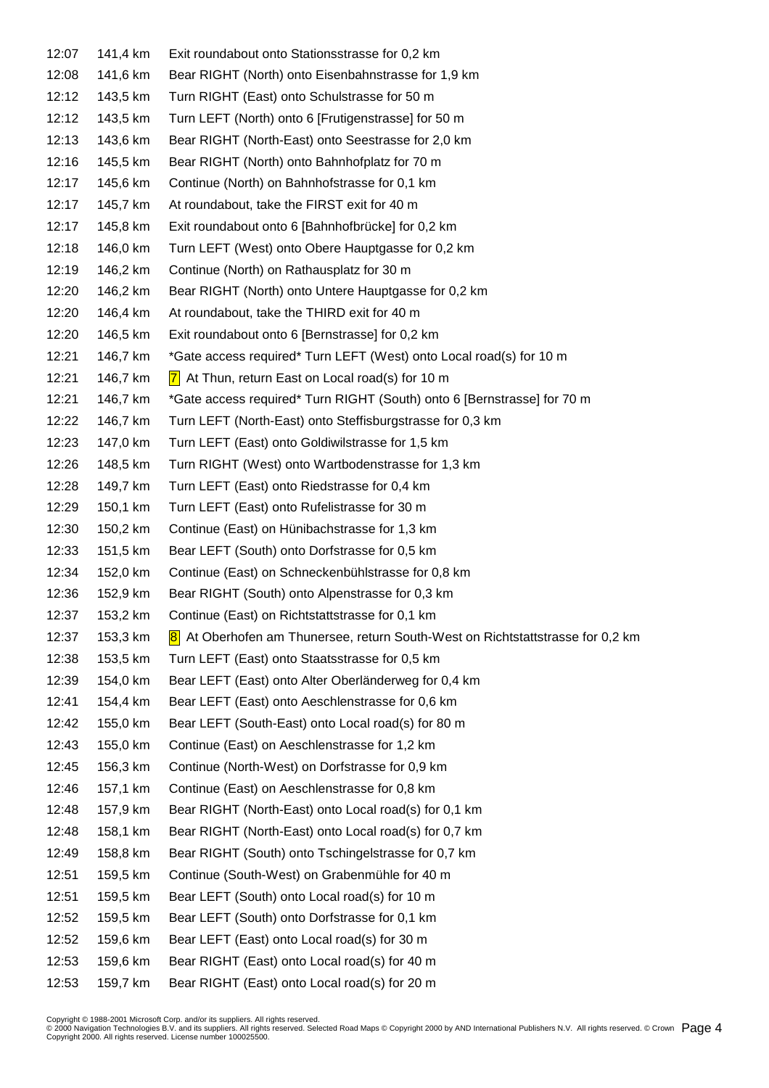| 12:07 | 141,4 km | Exit roundabout onto Stationsstrasse for 0,2 km                                |
|-------|----------|--------------------------------------------------------------------------------|
| 12:08 | 141,6 km | Bear RIGHT (North) onto Eisenbahnstrasse for 1,9 km                            |
| 12:12 | 143,5 km | Turn RIGHT (East) onto Schulstrasse for 50 m                                   |
| 12:12 | 143,5 km | Turn LEFT (North) onto 6 [Frutigenstrasse] for 50 m                            |
| 12:13 | 143,6 km | Bear RIGHT (North-East) onto Seestrasse for 2,0 km                             |
| 12:16 | 145,5 km | Bear RIGHT (North) onto Bahnhofplatz for 70 m                                  |
| 12:17 | 145,6 km | Continue (North) on Bahnhofstrasse for 0,1 km                                  |
| 12:17 | 145,7 km | At roundabout, take the FIRST exit for 40 m                                    |
| 12:17 | 145,8 km | Exit roundabout onto 6 [Bahnhofbrücke] for 0,2 km                              |
| 12:18 | 146,0 km | Turn LEFT (West) onto Obere Hauptgasse for 0,2 km                              |
| 12:19 | 146,2 km | Continue (North) on Rathausplatz for 30 m                                      |
| 12:20 | 146,2 km | Bear RIGHT (North) onto Untere Hauptgasse for 0,2 km                           |
| 12:20 | 146,4 km | At roundabout, take the THIRD exit for 40 m                                    |
| 12:20 | 146,5 km | Exit roundabout onto 6 [Bernstrasse] for 0,2 km                                |
| 12:21 | 146,7 km | *Gate access required* Turn LEFT (West) onto Local road(s) for 10 m            |
| 12:21 | 146,7 km | $ 7 $ At Thun, return East on Local road(s) for 10 m                           |
| 12:21 | 146,7 km | *Gate access required* Turn RIGHT (South) onto 6 [Bernstrasse] for 70 m        |
| 12:22 | 146,7 km | Turn LEFT (North-East) onto Steffisburgstrasse for 0,3 km                      |
| 12:23 | 147,0 km | Turn LEFT (East) onto Goldiwilstrasse for 1,5 km                               |
| 12:26 | 148,5 km | Turn RIGHT (West) onto Wartbodenstrasse for 1,3 km                             |
| 12:28 | 149,7 km | Turn LEFT (East) onto Riedstrasse for 0,4 km                                   |
| 12:29 | 150,1 km | Turn LEFT (East) onto Rufelistrasse for 30 m                                   |
| 12:30 | 150,2 km | Continue (East) on Hünibachstrasse for 1,3 km                                  |
| 12:33 | 151,5 km | Bear LEFT (South) onto Dorfstrasse for 0,5 km                                  |
| 12:34 | 152,0 km | Continue (East) on Schneckenbühlstrasse for 0,8 km                             |
| 12:36 | 152,9 km | Bear RIGHT (South) onto Alpenstrasse for 0,3 km                                |
| 12:37 | 153,2 km | Continue (East) on Richtstattstrasse for 0,1 km                                |
| 12:37 | 153,3 km | 8 At Oberhofen am Thunersee, return South-West on Richtstattstrasse for 0,2 km |
| 12:38 | 153,5 km | Turn LEFT (East) onto Staatsstrasse for 0,5 km                                 |
| 12:39 | 154,0 km | Bear LEFT (East) onto Alter Oberländerweg for 0,4 km                           |
| 12:41 | 154,4 km | Bear LEFT (East) onto Aeschlenstrasse for 0,6 km                               |
| 12:42 | 155,0 km | Bear LEFT (South-East) onto Local road(s) for 80 m                             |
| 12:43 | 155,0 km | Continue (East) on Aeschlenstrasse for 1,2 km                                  |
| 12:45 | 156,3 km | Continue (North-West) on Dorfstrasse for 0,9 km                                |
| 12:46 | 157,1 km | Continue (East) on Aeschlenstrasse for 0,8 km                                  |
| 12:48 | 157,9 km | Bear RIGHT (North-East) onto Local road(s) for 0,1 km                          |
| 12:48 | 158,1 km | Bear RIGHT (North-East) onto Local road(s) for 0,7 km                          |
| 12:49 | 158,8 km | Bear RIGHT (South) onto Tschingelstrasse for 0,7 km                            |
| 12:51 | 159,5 km | Continue (South-West) on Grabenmühle for 40 m                                  |
| 12:51 | 159,5 km | Bear LEFT (South) onto Local road(s) for 10 m                                  |
| 12:52 | 159,5 km | Bear LEFT (South) onto Dorfstrasse for 0,1 km                                  |
| 12:52 | 159,6 km | Bear LEFT (East) onto Local road(s) for 30 m                                   |
| 12:53 | 159,6 km | Bear RIGHT (East) onto Local road(s) for 40 m                                  |
| 12:53 | 159,7 km | Bear RIGHT (East) onto Local road(s) for 20 m                                  |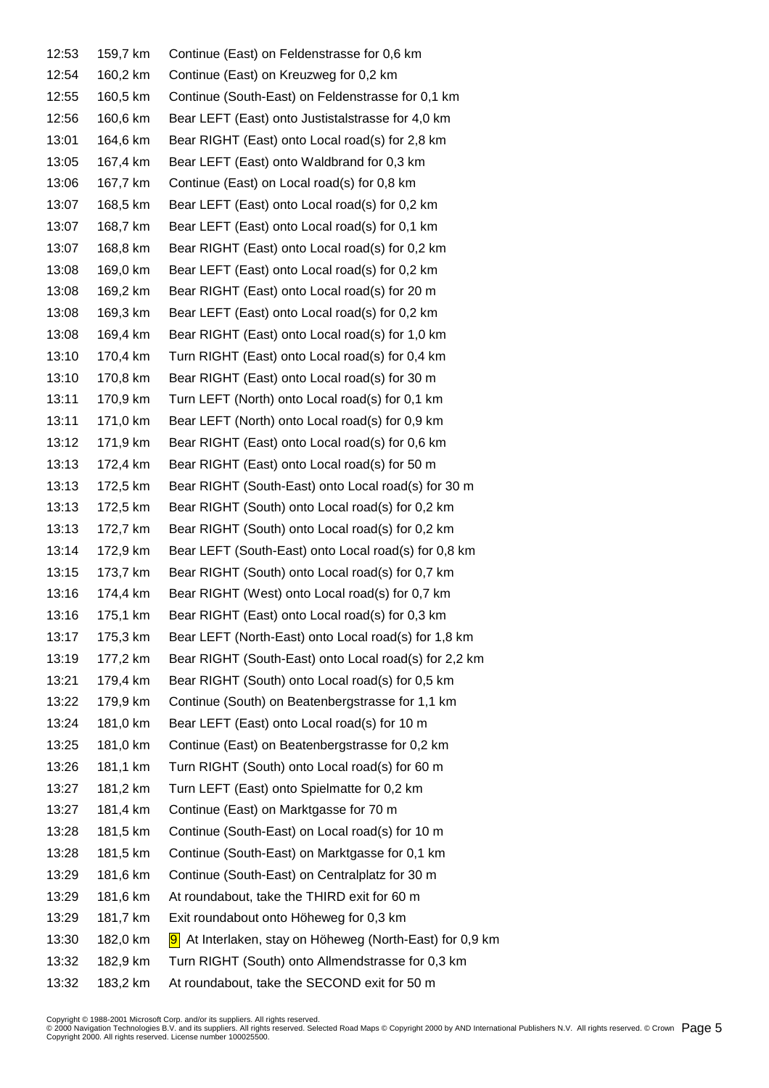| 12:53 | 159,7 km | Continue (East) on Feldenstrasse for 0,6 km              |
|-------|----------|----------------------------------------------------------|
| 12:54 | 160,2 km | Continue (East) on Kreuzweg for 0,2 km                   |
| 12:55 | 160,5 km | Continue (South-East) on Feldenstrasse for 0,1 km        |
| 12:56 | 160,6 km | Bear LEFT (East) onto Justistalstrasse for 4,0 km        |
| 13:01 | 164,6 km | Bear RIGHT (East) onto Local road(s) for 2,8 km          |
| 13:05 | 167,4 km | Bear LEFT (East) onto Waldbrand for 0,3 km               |
| 13:06 | 167,7 km | Continue (East) on Local road(s) for 0,8 km              |
| 13:07 | 168,5 km | Bear LEFT (East) onto Local road(s) for 0,2 km           |
| 13:07 | 168,7 km | Bear LEFT (East) onto Local road(s) for 0,1 km           |
| 13:07 | 168,8 km | Bear RIGHT (East) onto Local road(s) for 0,2 km          |
| 13:08 | 169,0 km | Bear LEFT (East) onto Local road(s) for 0,2 km           |
| 13:08 | 169,2 km | Bear RIGHT (East) onto Local road(s) for 20 m            |
| 13:08 | 169,3 km | Bear LEFT (East) onto Local road(s) for 0,2 km           |
| 13:08 | 169,4 km | Bear RIGHT (East) onto Local road(s) for 1,0 km          |
| 13:10 | 170,4 km | Turn RIGHT (East) onto Local road(s) for 0,4 km          |
| 13:10 | 170,8 km | Bear RIGHT (East) onto Local road(s) for 30 m            |
| 13:11 | 170,9 km | Turn LEFT (North) onto Local road(s) for 0,1 km          |
| 13:11 | 171,0 km | Bear LEFT (North) onto Local road(s) for 0,9 km          |
| 13:12 | 171,9 km | Bear RIGHT (East) onto Local road(s) for 0,6 km          |
| 13:13 | 172,4 km | Bear RIGHT (East) onto Local road(s) for 50 m            |
| 13:13 | 172,5 km | Bear RIGHT (South-East) onto Local road(s) for 30 m      |
| 13:13 | 172,5 km | Bear RIGHT (South) onto Local road(s) for 0,2 km         |
| 13:13 | 172,7 km | Bear RIGHT (South) onto Local road(s) for 0,2 km         |
| 13:14 | 172,9 km | Bear LEFT (South-East) onto Local road(s) for 0,8 km     |
| 13:15 | 173,7 km | Bear RIGHT (South) onto Local road(s) for 0,7 km         |
| 13:16 | 174,4 km | Bear RIGHT (West) onto Local road(s) for 0,7 km          |
| 13:16 | 175,1 km | Bear RIGHT (East) onto Local road(s) for 0,3 km          |
| 13:17 | 175,3 km | Bear LEFT (North-East) onto Local road(s) for 1,8 km     |
| 13:19 | 177,2 km | Bear RIGHT (South-East) onto Local road(s) for 2,2 km    |
| 13:21 | 179,4 km | Bear RIGHT (South) onto Local road(s) for 0,5 km         |
| 13:22 | 179,9 km | Continue (South) on Beatenbergstrasse for 1,1 km         |
| 13:24 | 181,0 km | Bear LEFT (East) onto Local road(s) for 10 m             |
| 13:25 | 181,0 km | Continue (East) on Beatenbergstrasse for 0,2 km          |
| 13:26 | 181,1 km | Turn RIGHT (South) onto Local road(s) for 60 m           |
| 13:27 | 181,2 km | Turn LEFT (East) onto Spielmatte for 0,2 km              |
| 13:27 | 181,4 km | Continue (East) on Marktgasse for 70 m                   |
| 13:28 | 181,5 km | Continue (South-East) on Local road(s) for 10 m          |
| 13:28 | 181,5 km | Continue (South-East) on Marktgasse for 0,1 km           |
| 13:29 | 181,6 km | Continue (South-East) on Centralplatz for 30 m           |
| 13:29 | 181,6 km | At roundabout, take the THIRD exit for 60 m              |
| 13:29 | 181,7 km | Exit roundabout onto Höheweg for 0,3 km                  |
| 13:30 | 182,0 km | 9 At Interlaken, stay on Höheweg (North-East) for 0,9 km |
| 13:32 | 182,9 km | Turn RIGHT (South) onto Allmendstrasse for 0,3 km        |
| 13:32 | 183,2 km | At roundabout, take the SECOND exit for 50 m             |

Copyright © 1988-2001 Microsoft Corp. and/or its suppliers. All rights reserved.<br>© 2000 Navigation Technologies B.V. and its suppliers. All rights reserved. Selected Road Maps © Copyright 2000 by AND International Publish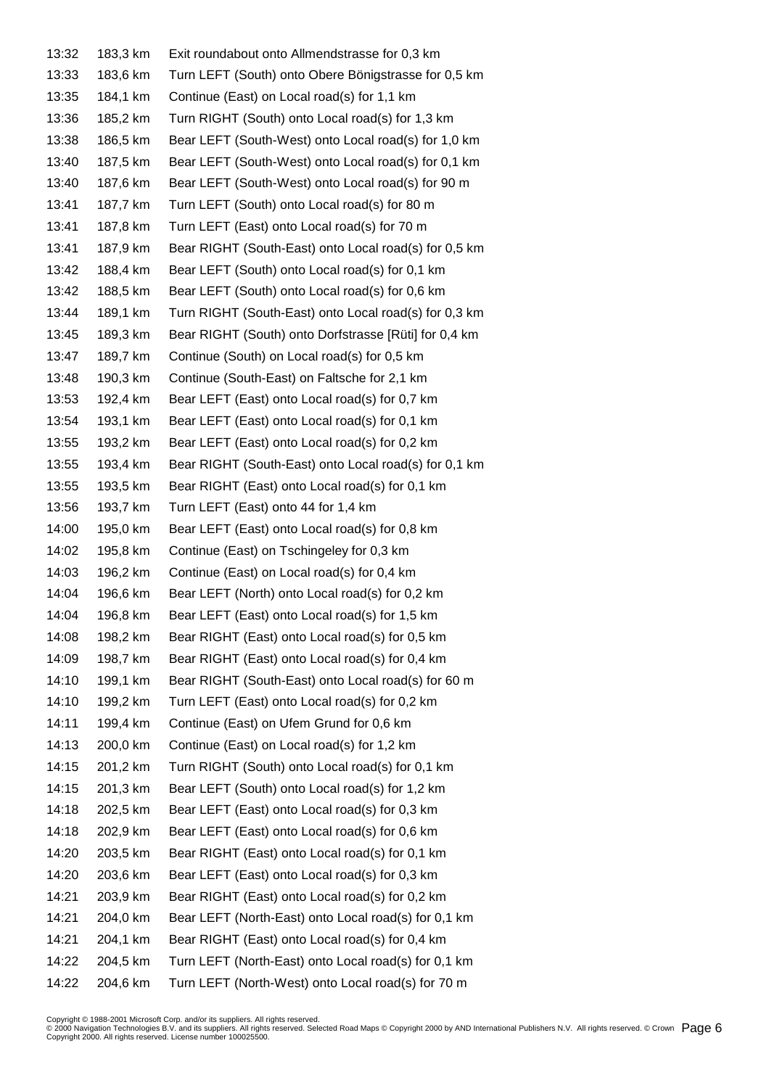| 13:32 | 183,3 km | Exit roundabout onto Allmendstrasse for 0,3 km        |
|-------|----------|-------------------------------------------------------|
| 13:33 | 183,6 km | Turn LEFT (South) onto Obere Bönigstrasse for 0,5 km  |
| 13:35 | 184,1 km | Continue (East) on Local road(s) for 1,1 km           |
| 13:36 | 185,2 km | Turn RIGHT (South) onto Local road(s) for 1,3 km      |
| 13:38 | 186,5 km | Bear LEFT (South-West) onto Local road(s) for 1,0 km  |
| 13:40 | 187,5 km | Bear LEFT (South-West) onto Local road(s) for 0,1 km  |
| 13:40 | 187,6 km | Bear LEFT (South-West) onto Local road(s) for 90 m    |
| 13:41 | 187,7 km | Turn LEFT (South) onto Local road(s) for 80 m         |
| 13:41 | 187,8 km | Turn LEFT (East) onto Local road(s) for 70 m          |
| 13:41 | 187,9 km | Bear RIGHT (South-East) onto Local road(s) for 0,5 km |
| 13:42 | 188,4 km | Bear LEFT (South) onto Local road(s) for 0,1 km       |
| 13:42 | 188,5 km | Bear LEFT (South) onto Local road(s) for 0,6 km       |
| 13:44 | 189,1 km | Turn RIGHT (South-East) onto Local road(s) for 0,3 km |
| 13:45 | 189,3 km | Bear RIGHT (South) onto Dorfstrasse [Rüti] for 0,4 km |
| 13:47 | 189,7 km | Continue (South) on Local road(s) for 0,5 km          |
| 13:48 | 190,3 km | Continue (South-East) on Faltsche for 2,1 km          |
| 13:53 | 192,4 km | Bear LEFT (East) onto Local road(s) for 0,7 km        |
| 13:54 | 193,1 km | Bear LEFT (East) onto Local road(s) for 0,1 km        |
| 13:55 | 193,2 km | Bear LEFT (East) onto Local road(s) for 0,2 km        |
| 13:55 | 193,4 km | Bear RIGHT (South-East) onto Local road(s) for 0,1 km |
| 13:55 | 193,5 km | Bear RIGHT (East) onto Local road(s) for 0,1 km       |
| 13:56 | 193,7 km | Turn LEFT (East) onto 44 for 1,4 km                   |
| 14:00 | 195,0 km | Bear LEFT (East) onto Local road(s) for 0,8 km        |
| 14:02 | 195,8 km | Continue (East) on Tschingeley for 0,3 km             |
| 14:03 | 196,2 km | Continue (East) on Local road(s) for 0,4 km           |
| 14:04 | 196,6 km | Bear LEFT (North) onto Local road(s) for 0,2 km       |
| 14:04 | 196,8 km | Bear LEFT (East) onto Local road(s) for 1,5 km        |
| 14:08 | 198,2 km | Bear RIGHT (East) onto Local road(s) for 0,5 km       |
| 14:09 | 198,7 km | Bear RIGHT (East) onto Local road(s) for 0,4 km       |
| 14:10 | 199,1 km | Bear RIGHT (South-East) onto Local road(s) for 60 m   |
| 14:10 | 199,2 km | Turn LEFT (East) onto Local road(s) for 0,2 km        |
| 14:11 | 199,4 km | Continue (East) on Ufem Grund for 0,6 km              |
| 14:13 | 200,0 km | Continue (East) on Local road(s) for 1,2 km           |
| 14:15 | 201,2 km | Turn RIGHT (South) onto Local road(s) for 0,1 km      |
| 14:15 | 201,3 km | Bear LEFT (South) onto Local road(s) for 1,2 km       |
| 14:18 | 202,5 km | Bear LEFT (East) onto Local road(s) for 0,3 km        |
| 14:18 | 202,9 km | Bear LEFT (East) onto Local road(s) for 0,6 km        |
| 14:20 | 203,5 km | Bear RIGHT (East) onto Local road(s) for 0,1 km       |
| 14:20 | 203,6 km | Bear LEFT (East) onto Local road(s) for 0,3 km        |
| 14:21 | 203,9 km | Bear RIGHT (East) onto Local road(s) for 0,2 km       |
| 14:21 | 204,0 km | Bear LEFT (North-East) onto Local road(s) for 0,1 km  |
| 14:21 | 204,1 km | Bear RIGHT (East) onto Local road(s) for 0,4 km       |
| 14:22 | 204,5 km | Turn LEFT (North-East) onto Local road(s) for 0,1 km  |
| 14:22 | 204,6 km | Turn LEFT (North-West) onto Local road(s) for 70 m    |

Copyright © 1988-2001 Microsoft Corp. and/or its suppliers. All rights reserved.<br>© 2000 Navigation Technologies B.V. and its suppliers. All rights reserved. Selected Road Maps © Copyright 2000 by AND International Publish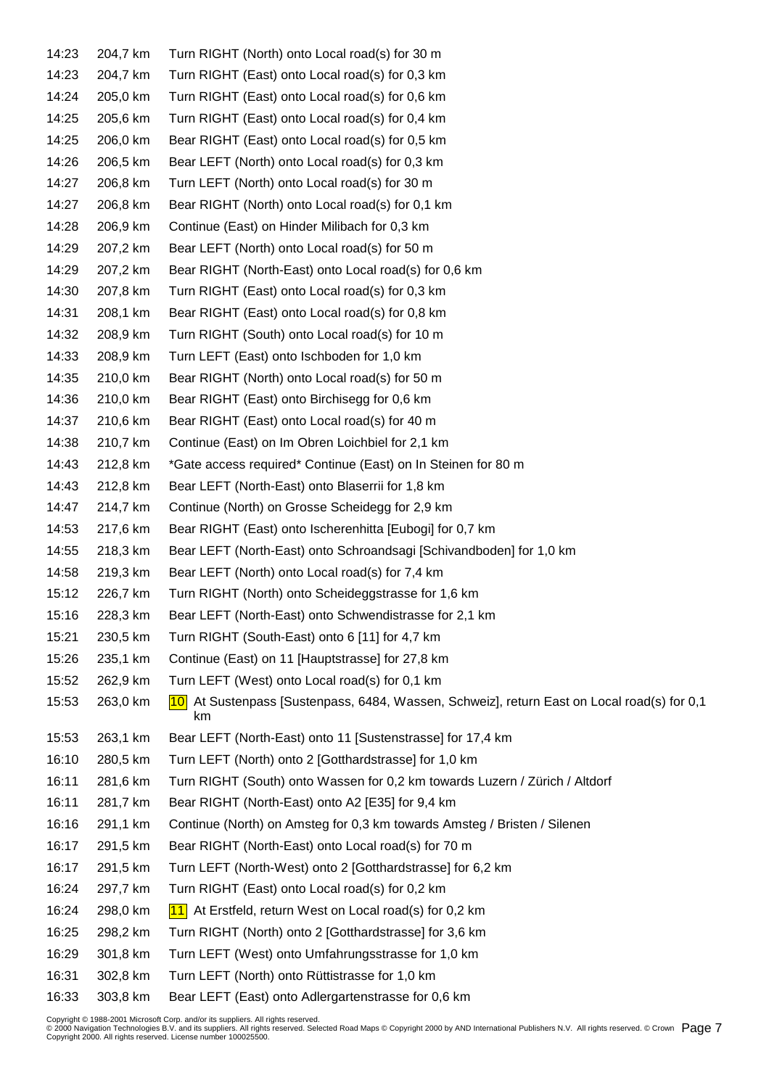| 14:23 | 204,7 km | Turn RIGHT (North) onto Local road(s) for 30 m                                                        |
|-------|----------|-------------------------------------------------------------------------------------------------------|
| 14:23 | 204,7 km | Turn RIGHT (East) onto Local road(s) for 0,3 km                                                       |
| 14:24 | 205,0 km | Turn RIGHT (East) onto Local road(s) for 0,6 km                                                       |
| 14:25 | 205,6 km | Turn RIGHT (East) onto Local road(s) for 0,4 km                                                       |
| 14:25 | 206,0 km | Bear RIGHT (East) onto Local road(s) for 0,5 km                                                       |
| 14:26 | 206,5 km | Bear LEFT (North) onto Local road(s) for 0,3 km                                                       |
| 14:27 | 206,8 km | Turn LEFT (North) onto Local road(s) for 30 m                                                         |
| 14:27 | 206,8 km | Bear RIGHT (North) onto Local road(s) for 0,1 km                                                      |
| 14:28 | 206,9 km | Continue (East) on Hinder Milibach for 0,3 km                                                         |
| 14:29 | 207,2 km | Bear LEFT (North) onto Local road(s) for 50 m                                                         |
| 14:29 | 207,2 km | Bear RIGHT (North-East) onto Local road(s) for 0,6 km                                                 |
| 14:30 | 207,8 km | Turn RIGHT (East) onto Local road(s) for 0,3 km                                                       |
| 14:31 | 208,1 km | Bear RIGHT (East) onto Local road(s) for 0,8 km                                                       |
| 14:32 | 208,9 km | Turn RIGHT (South) onto Local road(s) for 10 m                                                        |
| 14:33 | 208,9 km | Turn LEFT (East) onto Ischboden for 1,0 km                                                            |
| 14:35 | 210,0 km | Bear RIGHT (North) onto Local road(s) for 50 m                                                        |
| 14:36 | 210,0 km | Bear RIGHT (East) onto Birchisegg for 0,6 km                                                          |
| 14:37 | 210,6 km | Bear RIGHT (East) onto Local road(s) for 40 m                                                         |
| 14:38 | 210,7 km | Continue (East) on Im Obren Loichbiel for 2,1 km                                                      |
| 14:43 | 212,8 km | *Gate access required* Continue (East) on In Steinen for 80 m                                         |
| 14:43 | 212,8 km | Bear LEFT (North-East) onto Blaserrii for 1,8 km                                                      |
| 14:47 | 214,7 km | Continue (North) on Grosse Scheidegg for 2,9 km                                                       |
| 14:53 | 217,6 km | Bear RIGHT (East) onto Ischerenhitta [Eubogi] for 0,7 km                                              |
| 14:55 | 218,3 km | Bear LEFT (North-East) onto Schroandsagi [Schivandboden] for 1,0 km                                   |
| 14:58 | 219,3 km | Bear LEFT (North) onto Local road(s) for 7,4 km                                                       |
| 15:12 | 226,7 km | Turn RIGHT (North) onto Scheideggstrasse for 1,6 km                                                   |
| 15:16 | 228,3 km | Bear LEFT (North-East) onto Schwendistrasse for 2,1 km                                                |
| 15:21 | 230,5 km | Turn RIGHT (South-East) onto 6 [11] for 4,7 km                                                        |
| 15:26 | 235,1 km | Continue (East) on 11 [Hauptstrasse] for 27,8 km                                                      |
| 15:52 | 262,9 km | Turn LEFT (West) onto Local road(s) for 0,1 km                                                        |
| 15:53 | 263,0 km | At Sustenpass [Sustenpass, 6484, Wassen, Schweiz], return East on Local road(s) for 0,1<br> 10 <br>km |
| 15:53 | 263,1 km | Bear LEFT (North-East) onto 11 [Sustenstrasse] for 17,4 km                                            |
| 16:10 | 280,5 km | Turn LEFT (North) onto 2 [Gotthardstrasse] for 1,0 km                                                 |
| 16:11 | 281,6 km | Turn RIGHT (South) onto Wassen for 0,2 km towards Luzern / Zürich / Altdorf                           |
| 16:11 | 281,7 km | Bear RIGHT (North-East) onto A2 [E35] for 9,4 km                                                      |
| 16:16 | 291,1 km | Continue (North) on Amsteg for 0,3 km towards Amsteg / Bristen / Silenen                              |
| 16:17 | 291,5 km | Bear RIGHT (North-East) onto Local road(s) for 70 m                                                   |
| 16:17 | 291,5 km | Turn LEFT (North-West) onto 2 [Gotthardstrasse] for 6,2 km                                            |
| 16:24 | 297,7 km | Turn RIGHT (East) onto Local road(s) for 0,2 km                                                       |
| 16:24 | 298,0 km | 11 At Erstfeld, return West on Local road(s) for $0.2 \text{ km}$                                     |
| 16:25 | 298,2 km | Turn RIGHT (North) onto 2 [Gotthardstrasse] for 3,6 km                                                |
| 16:29 | 301,8 km | Turn LEFT (West) onto Umfahrungsstrasse for 1,0 km                                                    |
| 16:31 | 302,8 km | Turn LEFT (North) onto Rüttistrasse for 1,0 km                                                        |
| 16:33 | 303,8 km | Bear LEFT (East) onto Adlergartenstrasse for 0,6 km                                                   |

Copyright © 1988-2001 Microsoft Corp. and/or its suppliers. All rights reserved.<br>© 2000 Navigation Technologies B.V. and its suppliers. All rights reserved. Selected Road Maps © Copyright 2000 by AND International Publish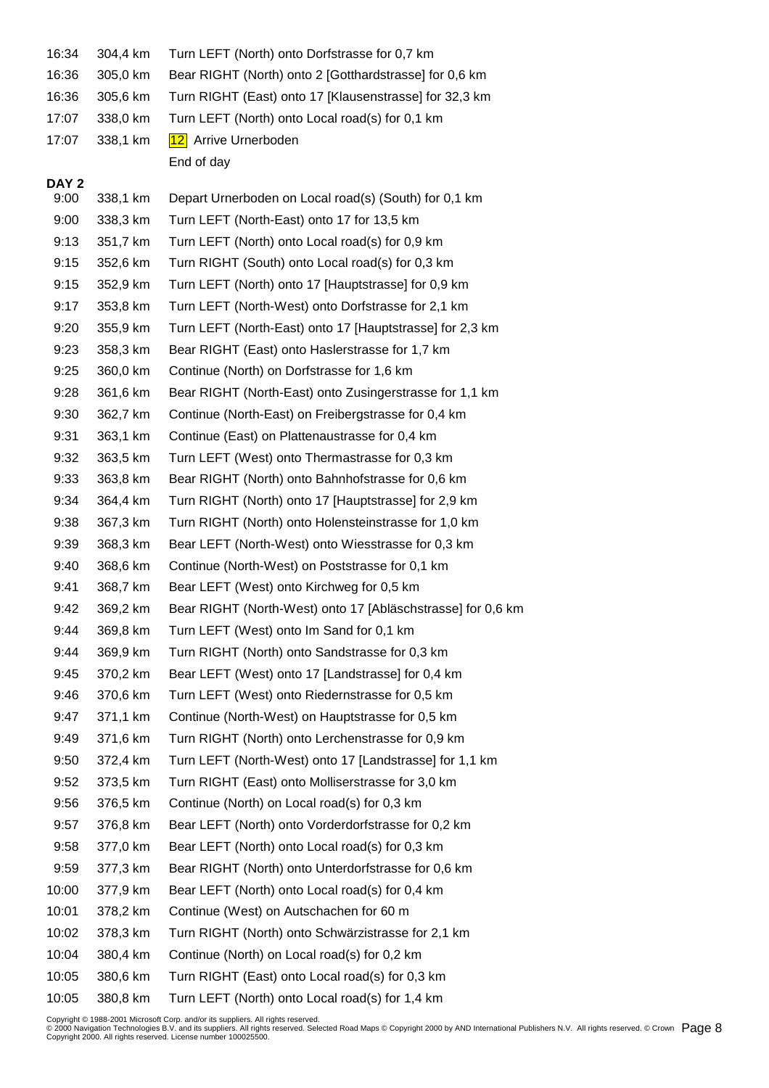| 16:34            | 304,4 km | Turn LEFT (North) onto Dorfstrasse for 0,7 km               |
|------------------|----------|-------------------------------------------------------------|
| 16:36            | 305,0 km | Bear RIGHT (North) onto 2 [Gotthardstrasse] for 0,6 km      |
| 16:36            | 305,6 km | Turn RIGHT (East) onto 17 [Klausenstrasse] for 32,3 km      |
| 17:07            | 338,0 km | Turn LEFT (North) onto Local road(s) for 0,1 km             |
| 17:07            | 338,1 km | 12 Arrive Urnerboden                                        |
|                  |          | End of day                                                  |
| DAY <sub>2</sub> |          |                                                             |
| 9:00             | 338,1 km | Depart Urnerboden on Local road(s) (South) for 0,1 km       |
| 9:00             | 338,3 km | Turn LEFT (North-East) onto 17 for 13,5 km                  |
| 9:13             | 351,7 km | Turn LEFT (North) onto Local road(s) for 0,9 km             |
| 9:15             | 352,6 km | Turn RIGHT (South) onto Local road(s) for 0,3 km            |
| 9:15             | 352,9 km | Turn LEFT (North) onto 17 [Hauptstrasse] for 0,9 km         |
| 9:17             | 353,8 km | Turn LEFT (North-West) onto Dorfstrasse for 2,1 km          |
| 9:20             | 355,9 km | Turn LEFT (North-East) onto 17 [Hauptstrasse] for 2,3 km    |
| 9:23             | 358,3 km | Bear RIGHT (East) onto Haslerstrasse for 1,7 km             |
| 9:25             | 360,0 km | Continue (North) on Dorfstrasse for 1,6 km                  |
| 9:28             | 361,6 km | Bear RIGHT (North-East) onto Zusingerstrasse for 1,1 km     |
| 9:30             | 362,7 km | Continue (North-East) on Freibergstrasse for 0,4 km         |
| 9:31             | 363,1 km | Continue (East) on Plattenaustrasse for 0,4 km              |
| 9:32             | 363,5 km | Turn LEFT (West) onto Thermastrasse for 0,3 km              |
| 9:33             | 363,8 km | Bear RIGHT (North) onto Bahnhofstrasse for 0,6 km           |
| 9:34             | 364,4 km | Turn RIGHT (North) onto 17 [Hauptstrasse] for 2,9 km        |
| 9:38             | 367,3 km | Turn RIGHT (North) onto Holensteinstrasse for 1,0 km        |
| 9:39             | 368,3 km | Bear LEFT (North-West) onto Wiesstrasse for 0,3 km          |
| 9:40             | 368,6 km | Continue (North-West) on Poststrasse for 0,1 km             |
| 9:41             | 368,7 km | Bear LEFT (West) onto Kirchweg for 0,5 km                   |
| 9:42             | 369,2 km | Bear RIGHT (North-West) onto 17 [Abläschstrasse] for 0,6 km |
| 9:44             | 369,8 km | Turn LEFT (West) onto Im Sand for 0,1 km                    |
| 9:44             | 369,9 km | Turn RIGHT (North) onto Sandstrasse for 0,3 km              |
| 9:45             | 370,2 km | Bear LEFT (West) onto 17 [Landstrasse] for 0,4 km           |
| 9:46             | 370,6 km | Turn LEFT (West) onto Riedernstrasse for 0,5 km             |
| 9:47             | 371,1 km | Continue (North-West) on Hauptstrasse for 0,5 km            |
| 9:49             | 371,6 km | Turn RIGHT (North) onto Lerchenstrasse for 0,9 km           |
| 9:50             | 372,4 km | Turn LEFT (North-West) onto 17 [Landstrasse] for 1,1 km     |
| 9:52             | 373,5 km | Turn RIGHT (East) onto Molliserstrasse for 3,0 km           |
| 9:56             | 376,5 km | Continue (North) on Local road(s) for 0,3 km                |
| 9:57             | 376,8 km | Bear LEFT (North) onto Vorderdorfstrasse for 0,2 km         |
| 9:58             | 377,0 km | Bear LEFT (North) onto Local road(s) for 0,3 km             |
| 9:59             | 377,3 km | Bear RIGHT (North) onto Unterdorfstrasse for 0,6 km         |
| 10:00            | 377,9 km | Bear LEFT (North) onto Local road(s) for 0,4 km             |
| 10:01            | 378,2 km | Continue (West) on Autschachen for 60 m                     |
| 10:02            | 378,3 km | Turn RIGHT (North) onto Schwärzistrasse for 2,1 km          |
| 10:04            | 380,4 km | Continue (North) on Local road(s) for 0,2 km                |
| 10:05            | 380,6 km | Turn RIGHT (East) onto Local road(s) for 0,3 km             |
| 10:05            | 380,8 km | Turn LEFT (North) onto Local road(s) for 1,4 km             |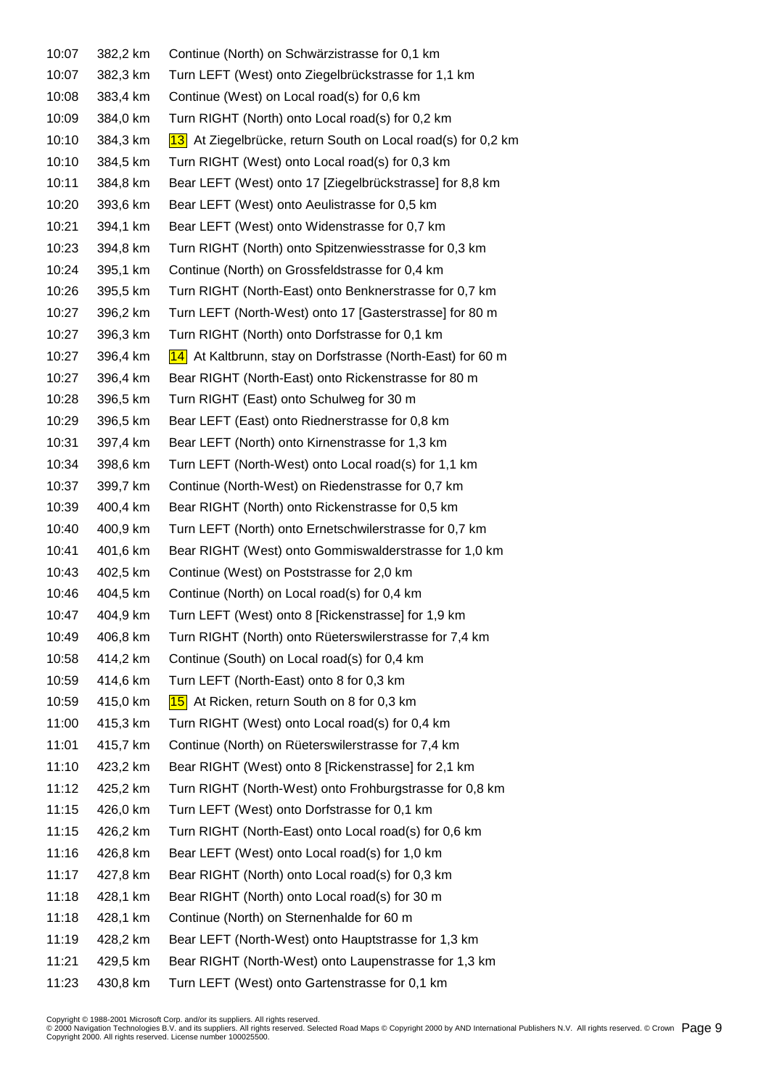| 10:07 | 382,2 km | Continue (North) on Schwärzistrasse for 0,1 km               |
|-------|----------|--------------------------------------------------------------|
| 10:07 | 382,3 km | Turn LEFT (West) onto Ziegelbrückstrasse for 1,1 km          |
| 10:08 | 383,4 km | Continue (West) on Local road(s) for 0,6 km                  |
| 10:09 | 384,0 km | Turn RIGHT (North) onto Local road(s) for 0,2 km             |
| 10:10 | 384,3 km | 13 At Ziegelbrücke, return South on Local road(s) for 0,2 km |
| 10:10 | 384,5 km | Turn RIGHT (West) onto Local road(s) for 0,3 km              |
| 10:11 | 384,8 km | Bear LEFT (West) onto 17 [Ziegelbrückstrasse] for 8,8 km     |
| 10:20 | 393,6 km | Bear LEFT (West) onto Aeulistrasse for 0,5 km                |
| 10:21 | 394,1 km | Bear LEFT (West) onto Widenstrasse for 0,7 km                |
| 10:23 | 394,8 km | Turn RIGHT (North) onto Spitzenwiesstrasse for 0,3 km        |
| 10:24 | 395,1 km | Continue (North) on Grossfeldstrasse for 0,4 km              |
| 10:26 | 395,5 km | Turn RIGHT (North-East) onto Benknerstrasse for 0,7 km       |
| 10:27 | 396,2 km | Turn LEFT (North-West) onto 17 [Gasterstrasse] for 80 m      |
| 10:27 | 396,3 km | Turn RIGHT (North) onto Dorfstrasse for 0,1 km               |
| 10:27 | 396,4 km | 14 At Kaltbrunn, stay on Dorfstrasse (North-East) for 60 m   |
| 10:27 | 396,4 km | Bear RIGHT (North-East) onto Rickenstrasse for 80 m          |
| 10:28 | 396,5 km | Turn RIGHT (East) onto Schulweg for 30 m                     |
| 10:29 | 396,5 km | Bear LEFT (East) onto Riednerstrasse for 0,8 km              |
| 10:31 | 397,4 km | Bear LEFT (North) onto Kirnenstrasse for 1,3 km              |
| 10:34 | 398,6 km | Turn LEFT (North-West) onto Local road(s) for 1,1 km         |
| 10:37 | 399,7 km | Continue (North-West) on Riedenstrasse for 0,7 km            |
| 10:39 | 400,4 km | Bear RIGHT (North) onto Rickenstrasse for 0,5 km             |
| 10:40 | 400,9 km | Turn LEFT (North) onto Ernetschwilerstrasse for 0,7 km       |
| 10:41 | 401,6 km | Bear RIGHT (West) onto Gommiswalderstrasse for 1,0 km        |
| 10:43 | 402,5 km | Continue (West) on Poststrasse for 2,0 km                    |
| 10:46 | 404,5 km | Continue (North) on Local road(s) for 0,4 km                 |
| 10:47 | 404,9 km | Turn LEFT (West) onto 8 [Rickenstrasse] for 1,9 km           |
| 10:49 | 406,8 km | Turn RIGHT (North) onto Rüeterswilerstrasse for 7,4 km       |
| 10:58 | 414,2 km | Continue (South) on Local road(s) for 0,4 km                 |
| 10:59 | 414,6 km | Turn LEFT (North-East) onto 8 for 0,3 km                     |
| 10:59 | 415,0 km | 15 At Ricken, return South on 8 for 0,3 km                   |
| 11:00 | 415,3 km | Turn RIGHT (West) onto Local road(s) for 0,4 km              |
| 11:01 | 415,7 km | Continue (North) on Rüeterswilerstrasse for 7,4 km           |
| 11:10 | 423,2 km | Bear RIGHT (West) onto 8 [Rickenstrasse] for 2,1 km          |
| 11:12 | 425,2 km | Turn RIGHT (North-West) onto Frohburgstrasse for 0,8 km      |
| 11:15 | 426,0 km | Turn LEFT (West) onto Dorfstrasse for 0,1 km                 |
| 11:15 | 426,2 km | Turn RIGHT (North-East) onto Local road(s) for 0,6 km        |
| 11:16 | 426,8 km | Bear LEFT (West) onto Local road(s) for 1,0 km               |
| 11:17 | 427,8 km | Bear RIGHT (North) onto Local road(s) for 0,3 km             |
| 11:18 | 428,1 km | Bear RIGHT (North) onto Local road(s) for 30 m               |
| 11:18 | 428,1 km | Continue (North) on Sternenhalde for 60 m                    |
| 11:19 | 428,2 km | Bear LEFT (North-West) onto Hauptstrasse for 1,3 km          |
| 11:21 | 429,5 km | Bear RIGHT (North-West) onto Laupenstrasse for 1,3 km        |
| 11:23 | 430,8 km | Turn LEFT (West) onto Gartenstrasse for 0,1 km               |
|       |          |                                                              |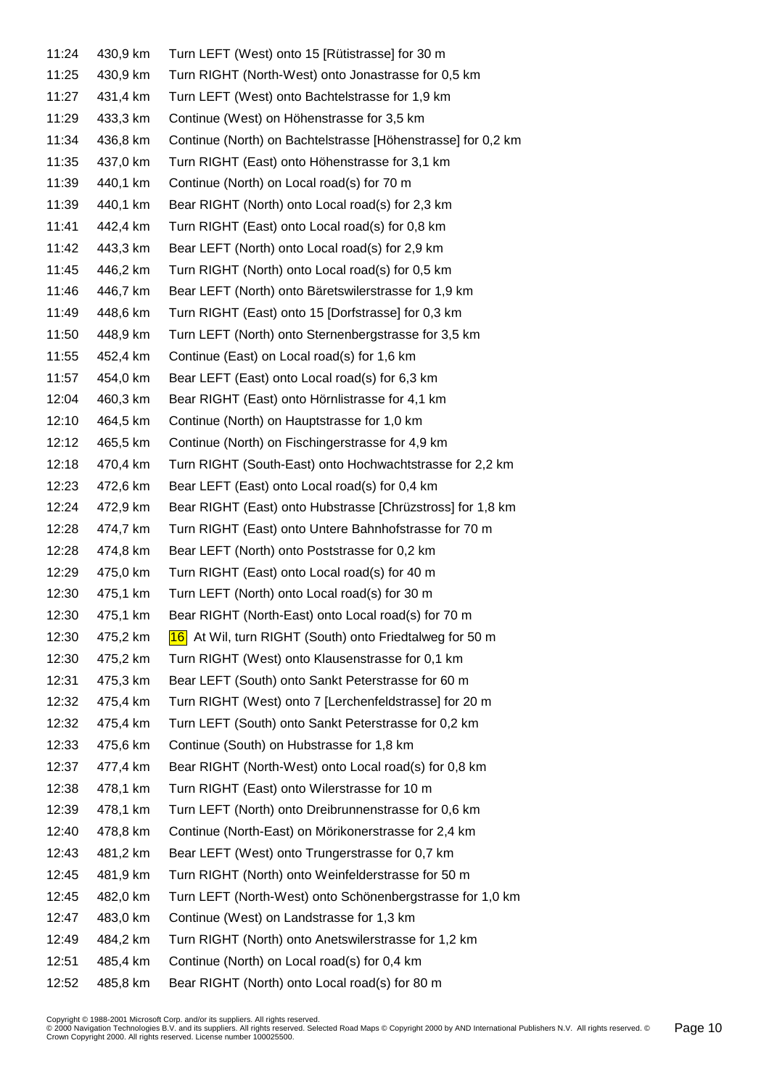| 11:24 | 430,9 km | Turn LEFT (West) onto 15 [Rütistrasse] for 30 m              |
|-------|----------|--------------------------------------------------------------|
| 11:25 | 430,9 km | Turn RIGHT (North-West) onto Jonastrasse for 0,5 km          |
| 11:27 | 431,4 km | Turn LEFT (West) onto Bachtelstrasse for 1,9 km              |
| 11:29 | 433,3 km | Continue (West) on Höhenstrasse for 3,5 km                   |
| 11:34 | 436,8 km | Continue (North) on Bachtelstrasse [Höhenstrasse] for 0,2 km |
| 11:35 | 437,0 km | Turn RIGHT (East) onto Höhenstrasse for 3,1 km               |
| 11:39 | 440,1 km | Continue (North) on Local road(s) for 70 m                   |
| 11:39 | 440,1 km | Bear RIGHT (North) onto Local road(s) for 2,3 km             |
| 11:41 | 442,4 km | Turn RIGHT (East) onto Local road(s) for 0,8 km              |
| 11:42 | 443,3 km | Bear LEFT (North) onto Local road(s) for 2,9 km              |
| 11:45 | 446,2 km | Turn RIGHT (North) onto Local road(s) for 0,5 km             |
| 11:46 | 446,7 km | Bear LEFT (North) onto Bäretswilerstrasse for 1,9 km         |
| 11:49 | 448,6 km | Turn RIGHT (East) onto 15 [Dorfstrasse] for 0,3 km           |
| 11:50 | 448,9 km | Turn LEFT (North) onto Sternenbergstrasse for 3,5 km         |
| 11:55 | 452,4 km | Continue (East) on Local road(s) for 1,6 km                  |
| 11:57 | 454,0 km | Bear LEFT (East) onto Local road(s) for 6,3 km               |
| 12:04 | 460,3 km | Bear RIGHT (East) onto Hörnlistrasse for 4,1 km              |
| 12:10 | 464,5 km | Continue (North) on Hauptstrasse for 1,0 km                  |
| 12:12 | 465,5 km | Continue (North) on Fischingerstrasse for 4,9 km             |
| 12:18 | 470,4 km | Turn RIGHT (South-East) onto Hochwachtstrasse for 2,2 km     |
| 12:23 | 472,6 km | Bear LEFT (East) onto Local road(s) for 0,4 km               |
| 12:24 | 472,9 km | Bear RIGHT (East) onto Hubstrasse [Chrüzstross] for 1,8 km   |
| 12:28 | 474,7 km | Turn RIGHT (East) onto Untere Bahnhofstrasse for 70 m        |
| 12:28 | 474,8 km | Bear LEFT (North) onto Poststrasse for 0,2 km                |
| 12:29 | 475,0 km | Turn RIGHT (East) onto Local road(s) for 40 m                |
| 12:30 | 475,1 km | Turn LEFT (North) onto Local road(s) for 30 m                |
| 12:30 | 475,1 km | Bear RIGHT (North-East) onto Local road(s) for 70 m          |
| 12:30 | 475,2 km | 16 At Wil, turn RIGHT (South) onto Friedtalweg for 50 m      |
| 12:30 | 475,2 km | Turn RIGHT (West) onto Klausenstrasse for 0,1 km             |
| 12:31 | 475,3 km | Bear LEFT (South) onto Sankt Peterstrasse for 60 m           |
| 12:32 | 475,4 km | Turn RIGHT (West) onto 7 [Lerchenfeldstrasse] for 20 m       |
| 12:32 | 475,4 km | Turn LEFT (South) onto Sankt Peterstrasse for 0,2 km         |
| 12:33 | 475,6 km | Continue (South) on Hubstrasse for 1,8 km                    |
| 12:37 | 477,4 km | Bear RIGHT (North-West) onto Local road(s) for 0,8 km        |
| 12:38 | 478,1 km | Turn RIGHT (East) onto Wilerstrasse for 10 m                 |
| 12:39 | 478,1 km | Turn LEFT (North) onto Dreibrunnenstrasse for 0,6 km         |
| 12:40 | 478,8 km | Continue (North-East) on Mörikonerstrasse for 2,4 km         |
| 12:43 | 481,2 km | Bear LEFT (West) onto Trungerstrasse for 0,7 km              |
| 12:45 | 481,9 km | Turn RIGHT (North) onto Weinfelderstrasse for 50 m           |
| 12:45 | 482,0 km | Turn LEFT (North-West) onto Schönenbergstrasse for 1,0 km    |
| 12:47 | 483,0 km | Continue (West) on Landstrasse for 1,3 km                    |
| 12:49 | 484,2 km | Turn RIGHT (North) onto Anetswilerstrasse for 1,2 km         |
| 12:51 | 485,4 km | Continue (North) on Local road(s) for 0,4 km                 |
| 12:52 | 485,8 km | Bear RIGHT (North) onto Local road(s) for 80 m               |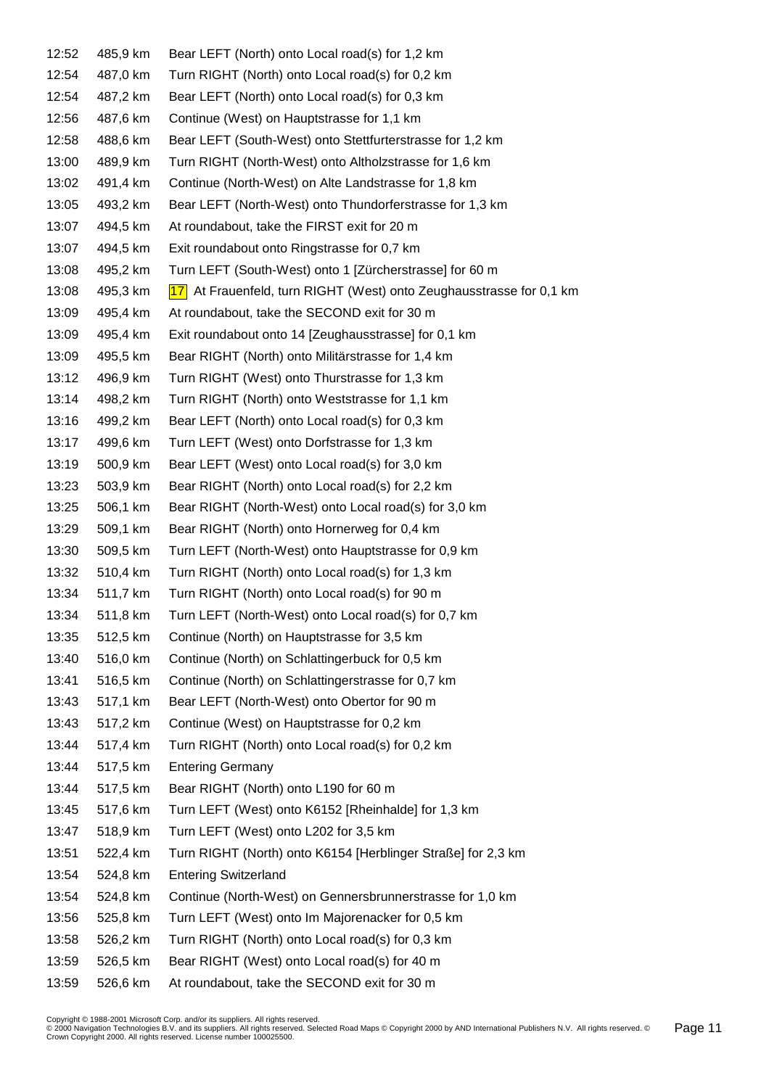| 12:52 | 485,9 km | Bear LEFT (North) onto Local road(s) for 1,2 km                     |
|-------|----------|---------------------------------------------------------------------|
| 12:54 | 487,0 km | Turn RIGHT (North) onto Local road(s) for 0,2 km                    |
| 12:54 | 487,2 km | Bear LEFT (North) onto Local road(s) for 0,3 km                     |
| 12:56 | 487,6 km | Continue (West) on Hauptstrasse for 1,1 km                          |
| 12:58 | 488,6 km | Bear LEFT (South-West) onto Stettfurterstrasse for 1,2 km           |
| 13:00 | 489,9 km | Turn RIGHT (North-West) onto Altholzstrasse for 1,6 km              |
| 13:02 | 491,4 km | Continue (North-West) on Alte Landstrasse for 1,8 km                |
| 13:05 | 493,2 km | Bear LEFT (North-West) onto Thundorferstrasse for 1,3 km            |
| 13:07 | 494,5 km | At roundabout, take the FIRST exit for 20 m                         |
| 13:07 | 494,5 km | Exit roundabout onto Ringstrasse for 0,7 km                         |
| 13:08 | 495,2 km | Turn LEFT (South-West) onto 1 [Zürcherstrasse] for 60 m             |
| 13:08 | 495,3 km | 17 At Frauenfeld, turn RIGHT (West) onto Zeughausstrasse for 0,1 km |
| 13:09 | 495,4 km | At roundabout, take the SECOND exit for 30 m                        |
| 13:09 | 495,4 km | Exit roundabout onto 14 [Zeughausstrasse] for 0,1 km                |
| 13:09 | 495,5 km | Bear RIGHT (North) onto Militärstrasse for 1,4 km                   |
| 13:12 | 496,9 km | Turn RIGHT (West) onto Thurstrasse for 1,3 km                       |
| 13:14 | 498,2 km | Turn RIGHT (North) onto Weststrasse for 1,1 km                      |
| 13:16 | 499,2 km | Bear LEFT (North) onto Local road(s) for 0,3 km                     |
| 13:17 | 499,6 km | Turn LEFT (West) onto Dorfstrasse for 1,3 km                        |
| 13:19 | 500,9 km | Bear LEFT (West) onto Local road(s) for 3,0 km                      |
| 13:23 | 503,9 km | Bear RIGHT (North) onto Local road(s) for 2,2 km                    |
| 13:25 | 506,1 km | Bear RIGHT (North-West) onto Local road(s) for 3,0 km               |
| 13:29 | 509,1 km | Bear RIGHT (North) onto Hornerweg for 0,4 km                        |
| 13:30 | 509,5 km | Turn LEFT (North-West) onto Hauptstrasse for 0,9 km                 |
| 13:32 | 510,4 km | Turn RIGHT (North) onto Local road(s) for 1,3 km                    |
| 13:34 | 511,7 km | Turn RIGHT (North) onto Local road(s) for 90 m                      |
| 13:34 | 511,8 km | Turn LEFT (North-West) onto Local road(s) for 0,7 km                |
| 13:35 | 512,5 km | Continue (North) on Hauptstrasse for 3,5 km                         |
| 13:40 | 516,0 km | Continue (North) on Schlattingerbuck for 0,5 km                     |
| 13:41 | 516,5 km | Continue (North) on Schlattingerstrasse for 0,7 km                  |
| 13:43 | 517,1 km | Bear LEFT (North-West) onto Obertor for 90 m                        |
| 13:43 | 517,2 km | Continue (West) on Hauptstrasse for 0,2 km                          |
| 13:44 | 517,4 km | Turn RIGHT (North) onto Local road(s) for 0,2 km                    |
| 13:44 | 517,5 km | <b>Entering Germany</b>                                             |
| 13:44 | 517,5 km | Bear RIGHT (North) onto L190 for 60 m                               |
| 13:45 | 517,6 km | Turn LEFT (West) onto K6152 [Rheinhalde] for 1,3 km                 |
| 13:47 | 518,9 km | Turn LEFT (West) onto L202 for 3,5 km                               |
| 13:51 | 522,4 km | Turn RIGHT (North) onto K6154 [Herblinger Straße] for 2,3 km        |
| 13:54 | 524,8 km | <b>Entering Switzerland</b>                                         |
| 13:54 | 524,8 km | Continue (North-West) on Gennersbrunnerstrasse for 1,0 km           |
| 13:56 | 525,8 km | Turn LEFT (West) onto Im Majorenacker for 0,5 km                    |
| 13:58 | 526,2 km | Turn RIGHT (North) onto Local road(s) for 0,3 km                    |
| 13:59 | 526,5 km | Bear RIGHT (West) onto Local road(s) for 40 m                       |
| 13:59 | 526,6 km | At roundabout, take the SECOND exit for 30 m                        |